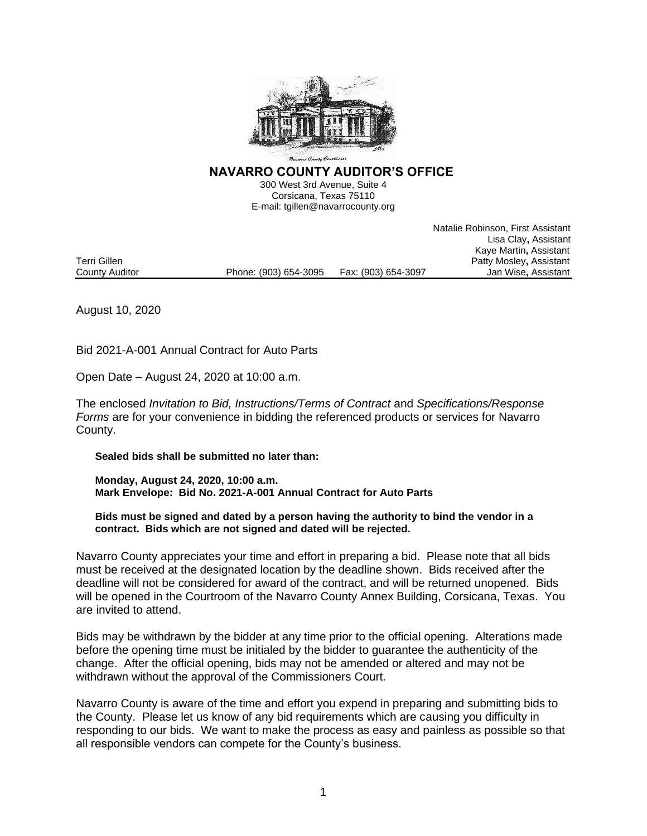

**NAVARRO COUNTY AUDITOR'S OFFICE** 

300 West 3rd Avenue, Suite 4 Corsicana, Texas 75110 E-mail: tgillen@navarrocounty.org

Natalie Robinson, First Assistant Lisa Clay**,** Assistant Kaye Martin**,** Assistant Patty Mosley, Assistant<br>Jan Wise, Assistant County Auditor **Phone: (903) 654-3095** Fax: (903) 654-3097

August 10, 2020

Bid 2021-A-001 Annual Contract for Auto Parts

Open Date – August 24, 2020 at 10:00 a.m.

The enclosed *Invitation to Bid, Instructions/Terms of Contract* and *Specifications/Response Forms* are for your convenience in bidding the referenced products or services for Navarro County.

**Sealed bids shall be submitted no later than:**

**Monday, August 24, 2020, 10:00 a.m. Mark Envelope: Bid No. 2021-A-001 Annual Contract for Auto Parts**

**Bids must be signed and dated by a person having the authority to bind the vendor in a contract. Bids which are not signed and dated will be rejected.**

Navarro County appreciates your time and effort in preparing a bid. Please note that all bids must be received at the designated location by the deadline shown. Bids received after the deadline will not be considered for award of the contract, and will be returned unopened. Bids will be opened in the Courtroom of the Navarro County Annex Building, Corsicana, Texas. You are invited to attend.

Bids may be withdrawn by the bidder at any time prior to the official opening. Alterations made before the opening time must be initialed by the bidder to guarantee the authenticity of the change. After the official opening, bids may not be amended or altered and may not be withdrawn without the approval of the Commissioners Court.

Navarro County is aware of the time and effort you expend in preparing and submitting bids to the County. Please let us know of any bid requirements which are causing you difficulty in responding to our bids. We want to make the process as easy and painless as possible so that all responsible vendors can compete for the County's business.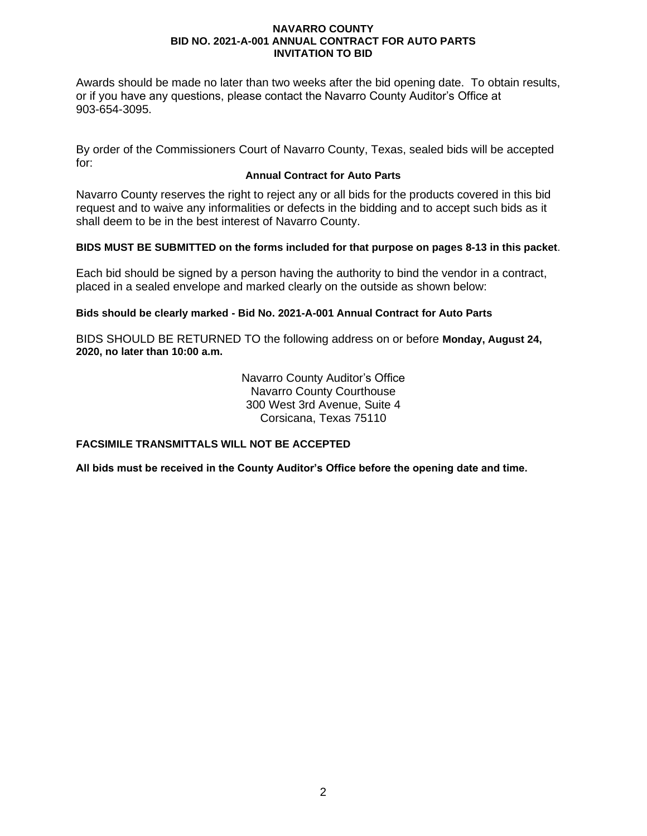Awards should be made no later than two weeks after the bid opening date. To obtain results, or if you have any questions, please contact the Navarro County Auditor's Office at 903-654-3095.

By order of the Commissioners Court of Navarro County, Texas, sealed bids will be accepted for:

## **Annual Contract for Auto Parts**

Navarro County reserves the right to reject any or all bids for the products covered in this bid request and to waive any informalities or defects in the bidding and to accept such bids as it shall deem to be in the best interest of Navarro County.

## **BIDS MUST BE SUBMITTED on the forms included for that purpose on pages 8-13 in this packet**.

Each bid should be signed by a person having the authority to bind the vendor in a contract, placed in a sealed envelope and marked clearly on the outside as shown below:

## **Bids should be clearly marked - Bid No. 2021-A-001 Annual Contract for Auto Parts**

BIDS SHOULD BE RETURNED TO the following address on or before **Monday, August 24, 2020, no later than 10:00 a.m.**

> Navarro County Auditor's Office Navarro County Courthouse 300 West 3rd Avenue, Suite 4 Corsicana, Texas 75110

## **FACSIMILE TRANSMITTALS WILL NOT BE ACCEPTED**

**All bids must be received in the County Auditor's Office before the opening date and time.**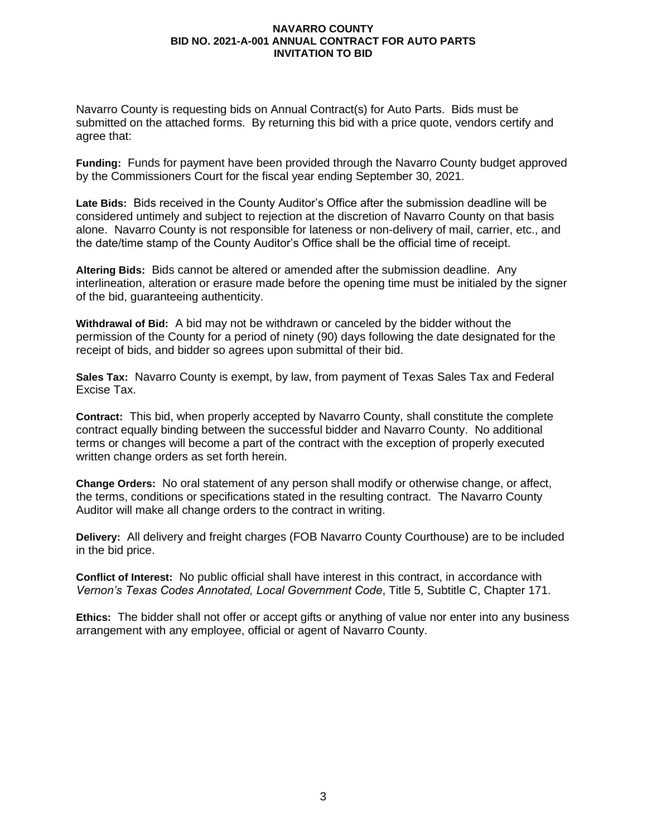Navarro County is requesting bids on Annual Contract(s) for Auto Parts. Bids must be submitted on the attached forms. By returning this bid with a price quote, vendors certify and agree that:

**Funding:** Funds for payment have been provided through the Navarro County budget approved by the Commissioners Court for the fiscal year ending September 30, 2021.

**Late Bids:** Bids received in the County Auditor's Office after the submission deadline will be considered untimely and subject to rejection at the discretion of Navarro County on that basis alone. Navarro County is not responsible for lateness or non-delivery of mail, carrier, etc., and the date/time stamp of the County Auditor's Office shall be the official time of receipt.

**Altering Bids:** Bids cannot be altered or amended after the submission deadline. Any interlineation, alteration or erasure made before the opening time must be initialed by the signer of the bid, guaranteeing authenticity.

**Withdrawal of Bid:** A bid may not be withdrawn or canceled by the bidder without the permission of the County for a period of ninety (90) days following the date designated for the receipt of bids, and bidder so agrees upon submittal of their bid.

**Sales Tax:** Navarro County is exempt, by law, from payment of Texas Sales Tax and Federal Excise Tax.

**Contract:** This bid, when properly accepted by Navarro County, shall constitute the complete contract equally binding between the successful bidder and Navarro County. No additional terms or changes will become a part of the contract with the exception of properly executed written change orders as set forth herein.

**Change Orders:** No oral statement of any person shall modify or otherwise change, or affect, the terms, conditions or specifications stated in the resulting contract. The Navarro County Auditor will make all change orders to the contract in writing.

**Delivery:** All delivery and freight charges (FOB Navarro County Courthouse) are to be included in the bid price.

**Conflict of Interest:** No public official shall have interest in this contract, in accordance with *Vernon's Texas Codes Annotated, Local Government Code*, Title 5, Subtitle C, Chapter 171.

**Ethics:** The bidder shall not offer or accept gifts or anything of value nor enter into any business arrangement with any employee, official or agent of Navarro County.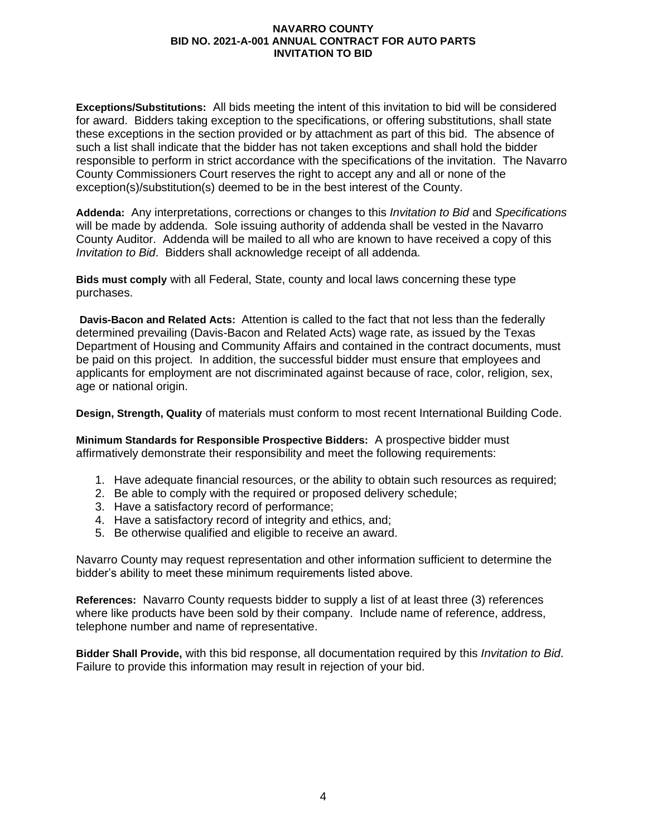**Exceptions/Substitutions:** All bids meeting the intent of this invitation to bid will be considered for award. Bidders taking exception to the specifications, or offering substitutions, shall state these exceptions in the section provided or by attachment as part of this bid. The absence of such a list shall indicate that the bidder has not taken exceptions and shall hold the bidder responsible to perform in strict accordance with the specifications of the invitation. The Navarro County Commissioners Court reserves the right to accept any and all or none of the exception(s)/substitution(s) deemed to be in the best interest of the County.

**Addenda:** Any interpretations, corrections or changes to this *Invitation to Bid* and *Specifications* will be made by addenda. Sole issuing authority of addenda shall be vested in the Navarro County Auditor. Addenda will be mailed to all who are known to have received a copy of this *Invitation to Bid*. Bidders shall acknowledge receipt of all addenda.

**Bids must comply** with all Federal, State, county and local laws concerning these type purchases.

**Davis-Bacon and Related Acts:**Attention is called to the fact that not less than the federally determined prevailing (Davis-Bacon and Related Acts) wage rate, as issued by the Texas Department of Housing and Community Affairs and contained in the contract documents, must be paid on this project. In addition, the successful bidder must ensure that employees and applicants for employment are not discriminated against because of race, color, religion, sex, age or national origin.

**Design, Strength, Quality** of materials must conform to most recent International Building Code.

**Minimum Standards for Responsible Prospective Bidders:** A prospective bidder must affirmatively demonstrate their responsibility and meet the following requirements:

- 1. Have adequate financial resources, or the ability to obtain such resources as required;
- 2. Be able to comply with the required or proposed delivery schedule;
- 3. Have a satisfactory record of performance;
- 4. Have a satisfactory record of integrity and ethics, and;
- 5. Be otherwise qualified and eligible to receive an award.

Navarro County may request representation and other information sufficient to determine the bidder's ability to meet these minimum requirements listed above.

**References:** Navarro County requests bidder to supply a list of at least three (3) references where like products have been sold by their company. Include name of reference, address, telephone number and name of representative.

**Bidder Shall Provide,** with this bid response, all documentation required by this *Invitation to Bid*. Failure to provide this information may result in rejection of your bid.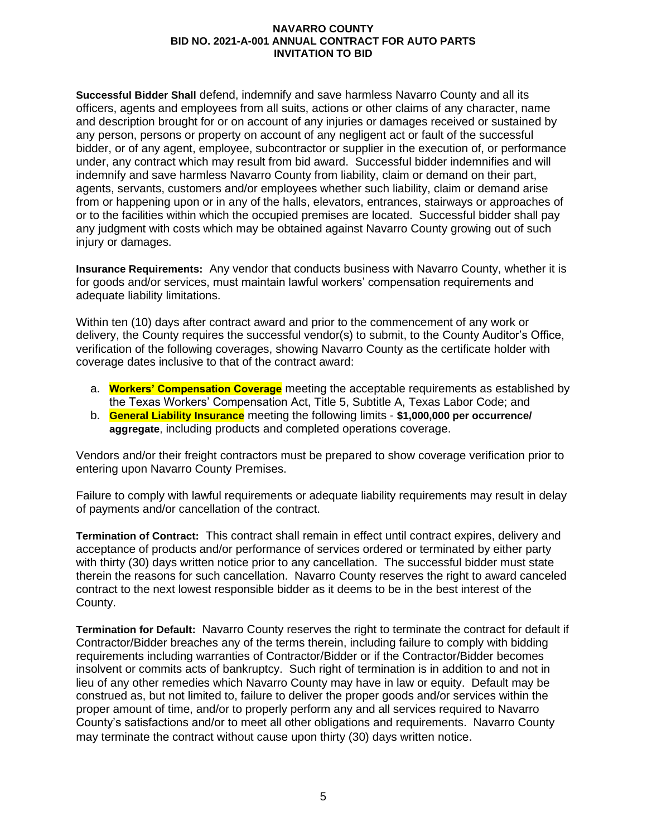**Successful Bidder Shall** defend, indemnify and save harmless Navarro County and all its officers, agents and employees from all suits, actions or other claims of any character, name and description brought for or on account of any injuries or damages received or sustained by any person, persons or property on account of any negligent act or fault of the successful bidder, or of any agent, employee, subcontractor or supplier in the execution of, or performance under, any contract which may result from bid award. Successful bidder indemnifies and will indemnify and save harmless Navarro County from liability, claim or demand on their part, agents, servants, customers and/or employees whether such liability, claim or demand arise from or happening upon or in any of the halls, elevators, entrances, stairways or approaches of or to the facilities within which the occupied premises are located. Successful bidder shall pay any judgment with costs which may be obtained against Navarro County growing out of such injury or damages.

**Insurance Requirements:** Any vendor that conducts business with Navarro County, whether it is for goods and/or services, must maintain lawful workers' compensation requirements and adequate liability limitations.

Within ten (10) days after contract award and prior to the commencement of any work or delivery, the County requires the successful vendor(s) to submit, to the County Auditor's Office, verification of the following coverages, showing Navarro County as the certificate holder with coverage dates inclusive to that of the contract award:

- a. **Workers' Compensation Coverage** meeting the acceptable requirements as established by the Texas Workers' Compensation Act, Title 5, Subtitle A, Texas Labor Code; and
- b. **General Liability Insurance** meeting the following limits **\$1,000,000 per occurrence/ aggregate**, including products and completed operations coverage.

Vendors and/or their freight contractors must be prepared to show coverage verification prior to entering upon Navarro County Premises.

Failure to comply with lawful requirements or adequate liability requirements may result in delay of payments and/or cancellation of the contract.

**Termination of Contract:** This contract shall remain in effect until contract expires, delivery and acceptance of products and/or performance of services ordered or terminated by either party with thirty (30) days written notice prior to any cancellation. The successful bidder must state therein the reasons for such cancellation. Navarro County reserves the right to award canceled contract to the next lowest responsible bidder as it deems to be in the best interest of the County.

**Termination for Default:** Navarro County reserves the right to terminate the contract for default if Contractor/Bidder breaches any of the terms therein, including failure to comply with bidding requirements including warranties of Contractor/Bidder or if the Contractor/Bidder becomes insolvent or commits acts of bankruptcy. Such right of termination is in addition to and not in lieu of any other remedies which Navarro County may have in law or equity. Default may be construed as, but not limited to, failure to deliver the proper goods and/or services within the proper amount of time, and/or to properly perform any and all services required to Navarro County's satisfactions and/or to meet all other obligations and requirements. Navarro County may terminate the contract without cause upon thirty (30) days written notice.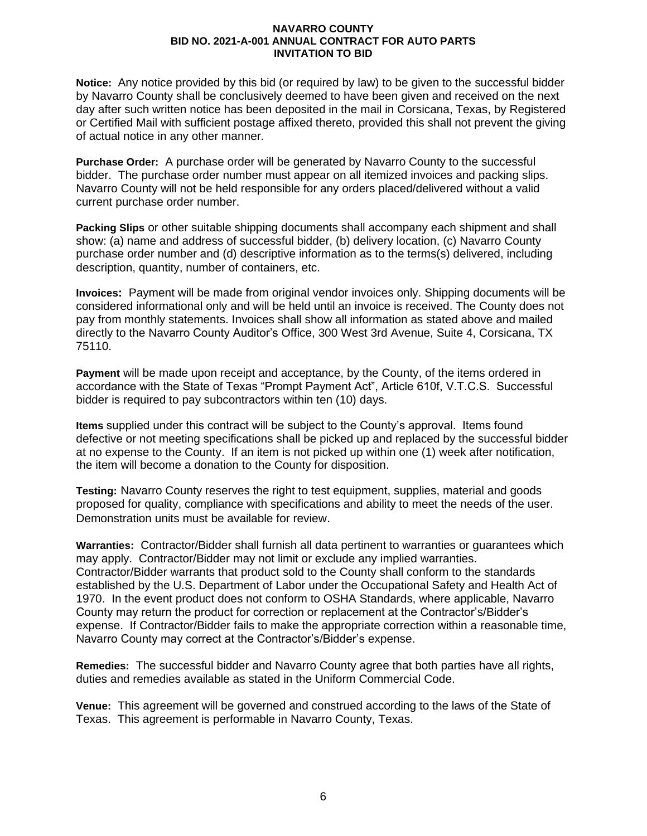**Notice:** Any notice provided by this bid (or required by law) to be given to the successful bidder by Navarro County shall be conclusively deemed to have been given and received on the next day after such written notice has been deposited in the mail in Corsicana, Texas, by Registered or Certified Mail with sufficient postage affixed thereto, provided this shall not prevent the giving of actual notice in any other manner.

**Purchase Order:** A purchase order will be generated by Navarro County to the successful bidder. The purchase order number must appear on all itemized invoices and packing slips. Navarro County will not be held responsible for any orders placed/delivered without a valid current purchase order number.

**Packing Slips** or other suitable shipping documents shall accompany each shipment and shall show: (a) name and address of successful bidder, (b) delivery location, (c) Navarro County purchase order number and (d) descriptive information as to the terms(s) delivered, including description, quantity, number of containers, etc.

**Invoices:** Payment will be made from original vendor invoices only. Shipping documents will be considered informational only and will be held until an invoice is received. The County does not pay from monthly statements. Invoices shall show all information as stated above and mailed directly to the Navarro County Auditor's Office, 300 West 3rd Avenue, Suite 4, Corsicana, TX 75110.

**Payment** will be made upon receipt and acceptance, by the County, of the items ordered in accordance with the State of Texas "Prompt Payment Act", Article 610f, V.T.C.S. Successful bidder is required to pay subcontractors within ten (10) days.

**Items** supplied under this contract will be subject to the County's approval. Items found defective or not meeting specifications shall be picked up and replaced by the successful bidder at no expense to the County. If an item is not picked up within one (1) week after notification, the item will become a donation to the County for disposition.

**Testing:** Navarro County reserves the right to test equipment, supplies, material and goods proposed for quality, compliance with specifications and ability to meet the needs of the user. Demonstration units must be available for review.

**Warranties:** Contractor/Bidder shall furnish all data pertinent to warranties or guarantees which may apply. Contractor/Bidder may not limit or exclude any implied warranties. Contractor/Bidder warrants that product sold to the County shall conform to the standards established by the U.S. Department of Labor under the Occupational Safety and Health Act of 1970. In the event product does not conform to OSHA Standards, where applicable, Navarro County may return the product for correction or replacement at the Contractor's/Bidder's expense. If Contractor/Bidder fails to make the appropriate correction within a reasonable time, Navarro County may correct at the Contractor's/Bidder's expense.

**Remedies:**The successful bidder and Navarro County agree that both parties have all rights, duties and remedies available as stated in the Uniform Commercial Code.

**Venue:** This agreement will be governed and construed according to the laws of the State of Texas. This agreement is performable in Navarro County, Texas.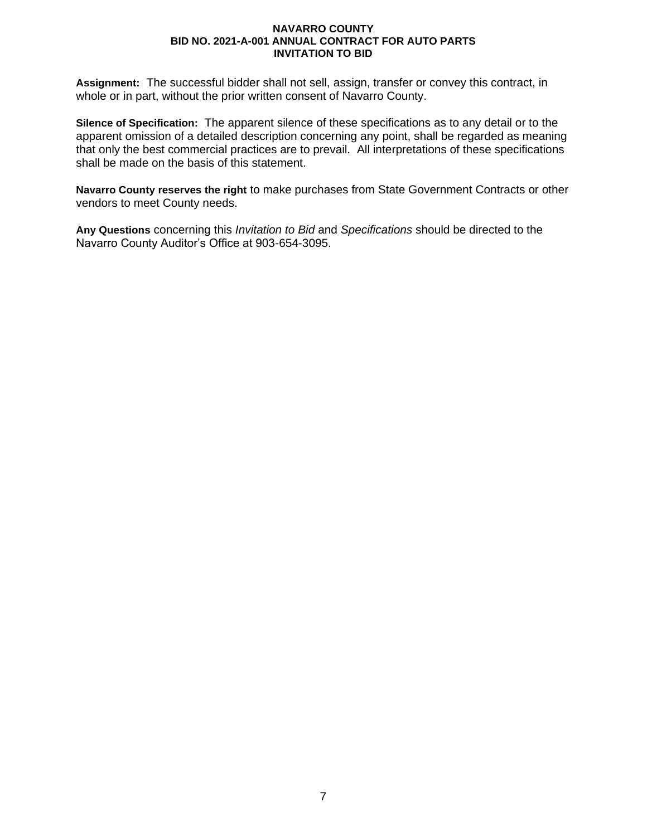**Assignment:** The successful bidder shall not sell, assign, transfer or convey this contract, in whole or in part, without the prior written consent of Navarro County.

**Silence of Specification:** The apparent silence of these specifications as to any detail or to the apparent omission of a detailed description concerning any point, shall be regarded as meaning that only the best commercial practices are to prevail. All interpretations of these specifications shall be made on the basis of this statement.

**Navarro County reserves the right** to make purchases from State Government Contracts or other vendors to meet County needs.

**Any Questions** concerning this *Invitation to Bid* and *Specifications* should be directed to the Navarro County Auditor's Office at 903-654-3095.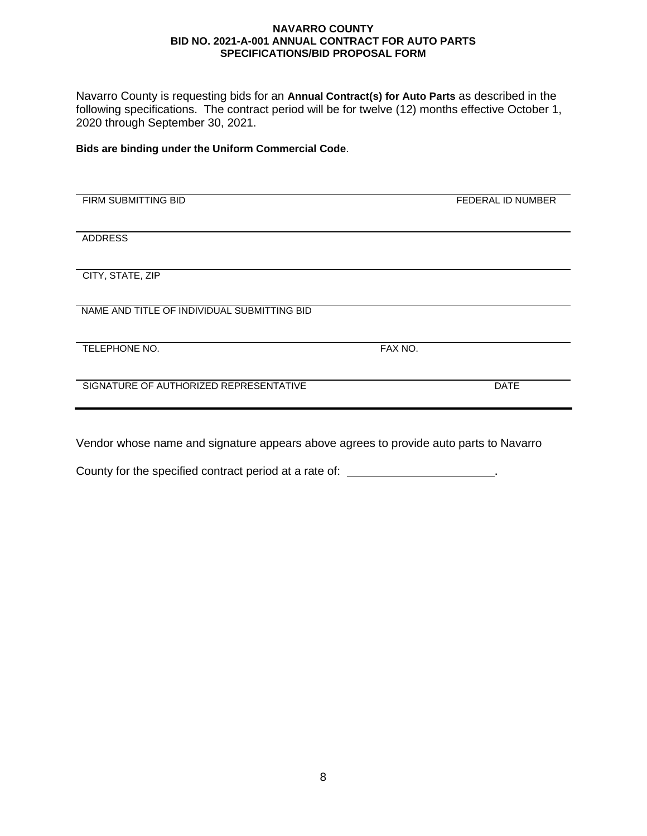Navarro County is requesting bids for an **Annual Contract(s) for Auto Parts** as described in the following specifications. The contract period will be for twelve (12) months effective October 1, 2020 through September 30, 2021.

**Bids are binding under the Uniform Commercial Code**.

| FIRM SUBMITTING BID                         |         | FEDERAL ID NUMBER |
|---------------------------------------------|---------|-------------------|
|                                             |         |                   |
| <b>ADDRESS</b>                              |         |                   |
|                                             |         |                   |
| CITY, STATE, ZIP                            |         |                   |
|                                             |         |                   |
| NAME AND TITLE OF INDIVIDUAL SUBMITTING BID |         |                   |
| TELEPHONE NO.                               | FAX NO. |                   |
| SIGNATURE OF AUTHORIZED REPRESENTATIVE      |         | <b>DATE</b>       |
|                                             |         |                   |

l,

Vendor whose name and signature appears above agrees to provide auto parts to Navarro

County for the specified contract period at a rate of: \_\_\_\_\_\_\_\_\_\_\_\_\_\_\_\_\_\_\_\_\_\_\_.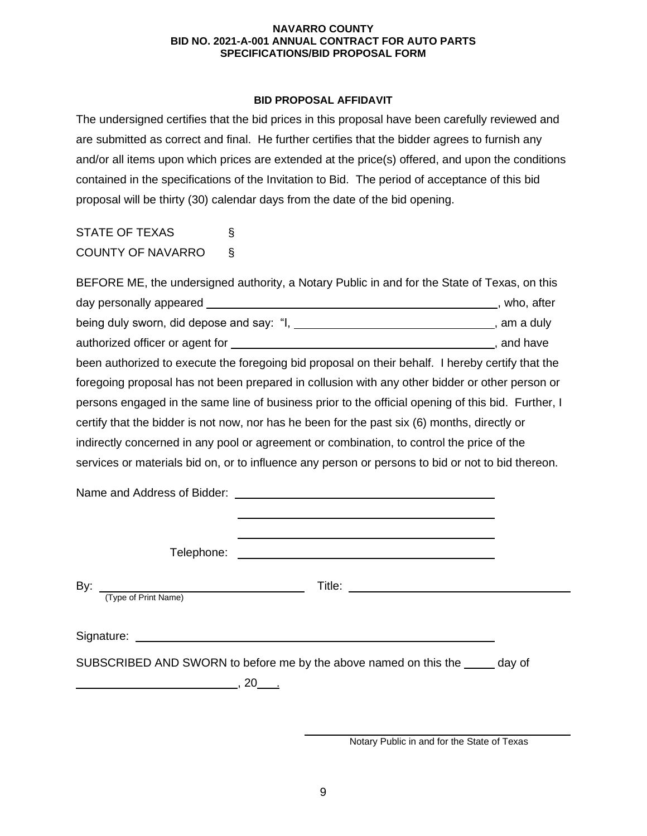## **BID PROPOSAL AFFIDAVIT**

The undersigned certifies that the bid prices in this proposal have been carefully reviewed and are submitted as correct and final. He further certifies that the bidder agrees to furnish any and/or all items upon which prices are extended at the price(s) offered, and upon the conditions contained in the specifications of the Invitation to Bid. The period of acceptance of this bid proposal will be thirty (30) calendar days from the date of the bid opening.

STATE OF TEXAS § COUNTY OF NAVARRO §

BEFORE ME, the undersigned authority, a Notary Public in and for the State of Texas, on this day personally appeared **contact and the contact of the contact of the contact of the contact of the contact of the contact of the contact of the contact of the contact of the contact of the contact of the contact of the c** being duly sworn, did depose and say: "I, \_\_\_\_\_\_\_\_\_\_\_\_\_\_\_\_\_\_\_\_\_\_\_\_\_\_\_\_\_\_\_\_\_, am a duly authorized officer or agent for  $\overline{\phantom{a}}$  and have , and have been authorized to execute the foregoing bid proposal on their behalf. I hereby certify that the foregoing proposal has not been prepared in collusion with any other bidder or other person or persons engaged in the same line of business prior to the official opening of this bid. Further, I certify that the bidder is not now, nor has he been for the past six (6) months, directly or indirectly concerned in any pool or agreement or combination, to control the price of the services or materials bid on, or to influence any person or persons to bid or not to bid thereon.

Name and Address of Bidder: Telephone: By: Title: (Type of Print Name) Signature: experience of the state of the state of the state of the state of the state of the state of the state of the state of the state of the state of the state of the state of the state of the state of the state of th SUBSCRIBED AND SWORN to before me by the above named on this the day of  $\overline{\phantom{a}}$ , 20  $\overline{\phantom{a}}$  .

Notary Public in and for the State of Texas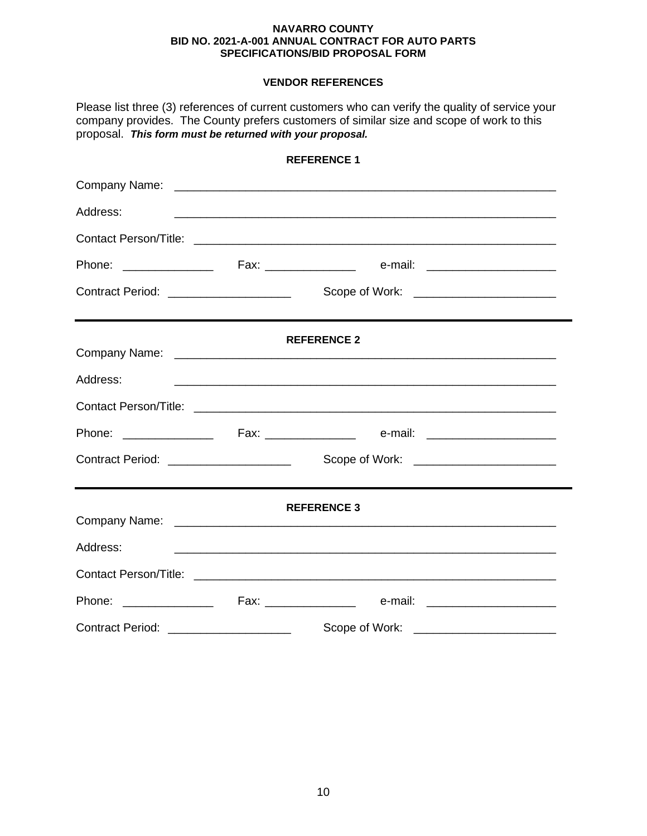## **VENDOR REFERENCES**

| Please list three (3) references of current customers who can verify the quality of service your<br>company provides. The County prefers customers of similar size and scope of work to this<br>proposal. This form must be returned with your proposal. |  |                                                                                                                        |  |  |  |
|----------------------------------------------------------------------------------------------------------------------------------------------------------------------------------------------------------------------------------------------------------|--|------------------------------------------------------------------------------------------------------------------------|--|--|--|
|                                                                                                                                                                                                                                                          |  | <b>REFERENCE 1</b>                                                                                                     |  |  |  |
|                                                                                                                                                                                                                                                          |  |                                                                                                                        |  |  |  |
| Address:                                                                                                                                                                                                                                                 |  | <u> 1990 - Jan Barbara, martxar anno 1992. I componente a contrar a componente de la componenta de la componenta d</u> |  |  |  |
|                                                                                                                                                                                                                                                          |  |                                                                                                                        |  |  |  |
|                                                                                                                                                                                                                                                          |  |                                                                                                                        |  |  |  |
| Contract Period: _____________________                                                                                                                                                                                                                   |  | Scope of Work: _________________________                                                                               |  |  |  |
|                                                                                                                                                                                                                                                          |  | <b>REFERENCE 2</b>                                                                                                     |  |  |  |
| Address:                                                                                                                                                                                                                                                 |  |                                                                                                                        |  |  |  |
|                                                                                                                                                                                                                                                          |  |                                                                                                                        |  |  |  |
|                                                                                                                                                                                                                                                          |  |                                                                                                                        |  |  |  |
| Contract Period: _____________________                                                                                                                                                                                                                   |  |                                                                                                                        |  |  |  |
|                                                                                                                                                                                                                                                          |  | <b>REFERENCE 3</b>                                                                                                     |  |  |  |
| Address:                                                                                                                                                                                                                                                 |  | <u> 1989 - Johann Stoff, amerikansk politiker (d. 1989)</u>                                                            |  |  |  |
|                                                                                                                                                                                                                                                          |  |                                                                                                                        |  |  |  |
|                                                                                                                                                                                                                                                          |  |                                                                                                                        |  |  |  |
| Contract Period: _____________________                                                                                                                                                                                                                   |  | Scope of Work:                                                                                                         |  |  |  |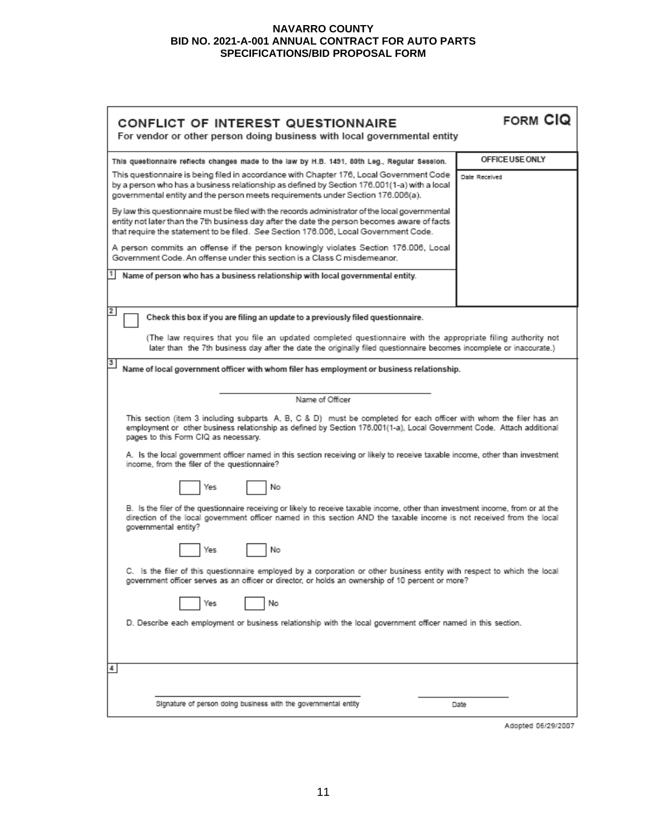| CONFLICT OF INTEREST QUESTIONNAIRE<br>For vendor or other person doing business with local governmental entity                                                                                                                                                                         | FORM CIQ        |  |  |  |
|----------------------------------------------------------------------------------------------------------------------------------------------------------------------------------------------------------------------------------------------------------------------------------------|-----------------|--|--|--|
| This questionnaire reflects changes made to the law by H.B. 1491, 80th Leg., Regular Session.                                                                                                                                                                                          | OFFICE USE ONLY |  |  |  |
| This questionnaire is being filed in accordance with Chapter 176, Local Government Code<br>by a person who has a business relationship as defined by Section 176.001(1-a) with a local<br>governmental entity and the person meets requirements under Section 176.006(a).              | Date Received   |  |  |  |
| By law this questionnaire must be filed with the records administrator of the local governmental<br>entity not later than the 7th business day after the date the person becomes aware of facts<br>that require the statement to be filed. See Section 176.006, Local Government Code. |                 |  |  |  |
| A person commits an offense if the person knowingly violates Section 176.006, Local<br>Government Code. An offense under this section is a Class C misdemeanor.                                                                                                                        |                 |  |  |  |
| Name of person who has a business relationship with local governmental entity.                                                                                                                                                                                                         |                 |  |  |  |
| 2<br>Check this box if you are filing an update to a previously filed questionnaire.                                                                                                                                                                                                   |                 |  |  |  |
| (The law requires that you file an updated completed questionnaire with the appropriate filing authority not<br>later than the 7th business day after the date the originally filed questionnaire becomes incomplete or inaccurate.)                                                   |                 |  |  |  |
| 3<br>Name of local government officer with whom filer has employment or business relationship.                                                                                                                                                                                         |                 |  |  |  |
| Name of Officer                                                                                                                                                                                                                                                                        |                 |  |  |  |
| This section (item 3 including subparts A, B, C & D) must be completed for each officer with whom the filer has an<br>employment or other business relationship as defined by Section 176.001(1-a), Local Government Code. Attach additional<br>pages to this Form CIQ as necessary.   |                 |  |  |  |
| A. Is the local government officer named in this section receiving or likely to receive taxable income, other than investment<br>income, from the filer of the questionnaire?                                                                                                          |                 |  |  |  |
| No<br>Yes                                                                                                                                                                                                                                                                              |                 |  |  |  |
| B. Is the filer of the questionnaire receiving or likely to receive taxable income, other than investment income, from or at the<br>direction of the local government officer named in this section AND the taxable income is not received from the local<br>governmental entity?      |                 |  |  |  |
| No<br>Yes                                                                                                                                                                                                                                                                              |                 |  |  |  |
| C. Is the filer of this questionnaire employed by a corporation or other business entity with respect to which the local<br>? government officer serves as an officer or director, or holds an ownership of 10 percent or more                                                         |                 |  |  |  |
| No<br>Yes                                                                                                                                                                                                                                                                              |                 |  |  |  |
| D. Describe each employment or business relationship with the local government officer named in this section.                                                                                                                                                                          |                 |  |  |  |
| 4                                                                                                                                                                                                                                                                                      |                 |  |  |  |
| Signature of person doing business with the governmental entity                                                                                                                                                                                                                        | Date            |  |  |  |

Adopted 06/29/2007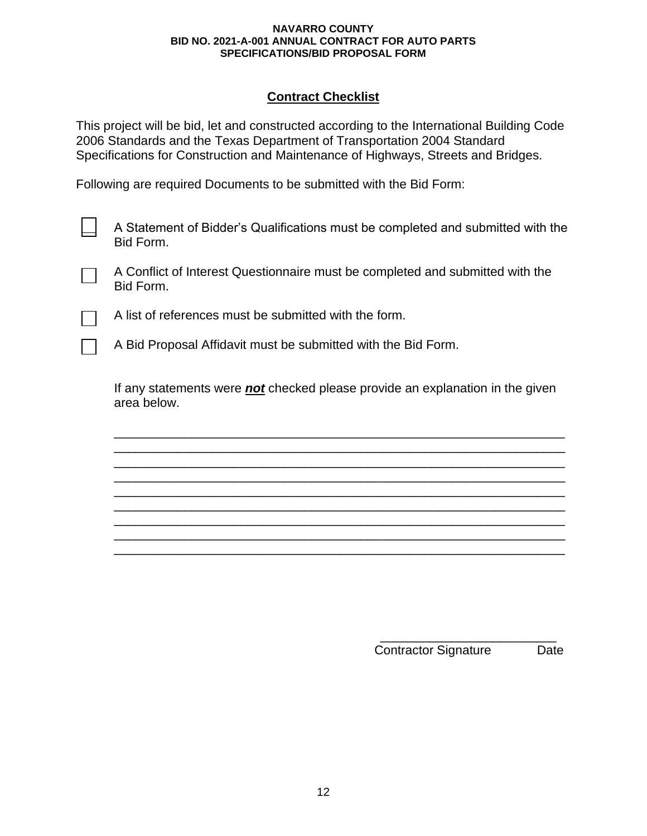## **Contract Checklist**

This project will be bid, let and constructed according to the International Building Code 2006 Standards and the Texas Department of Transportation 2004 Standard Specifications for Construction and Maintenance of Highways, Streets and Bridges.

Following are required Documents to be submitted with the Bid Form:

A Statement of Bidder's Qualifications must be completed and submitted with the Bid Form.

A Conflict of Interest Questionnaire must be completed and submitted with the Bid Form.

A list of references must be submitted with the form.

A Bid Proposal Affidavit must be submitted with the Bid Form.

If any statements were *not* checked please provide an explanation in the given area below.

\_\_\_\_\_\_\_\_\_\_\_\_\_\_\_\_\_\_\_\_\_\_\_\_\_\_\_\_\_\_\_\_\_\_\_\_\_\_\_\_\_\_\_\_\_\_\_\_\_\_\_\_\_\_\_\_\_\_\_\_\_\_\_\_ \_\_\_\_\_\_\_\_\_\_\_\_\_\_\_\_\_\_\_\_\_\_\_\_\_\_\_\_\_\_\_\_\_\_\_\_\_\_\_\_\_\_\_\_\_\_\_\_\_\_\_\_\_\_\_\_\_\_\_\_\_\_\_\_ \_\_\_\_\_\_\_\_\_\_\_\_\_\_\_\_\_\_\_\_\_\_\_\_\_\_\_\_\_\_\_\_\_\_\_\_\_\_\_\_\_\_\_\_\_\_\_\_\_\_\_\_\_\_\_\_\_\_\_\_\_\_\_\_ \_\_\_\_\_\_\_\_\_\_\_\_\_\_\_\_\_\_\_\_\_\_\_\_\_\_\_\_\_\_\_\_\_\_\_\_\_\_\_\_\_\_\_\_\_\_\_\_\_\_\_\_\_\_\_\_\_\_\_\_\_\_\_\_ \_\_\_\_\_\_\_\_\_\_\_\_\_\_\_\_\_\_\_\_\_\_\_\_\_\_\_\_\_\_\_\_\_\_\_\_\_\_\_\_\_\_\_\_\_\_\_\_\_\_\_\_\_\_\_\_\_\_\_\_\_\_\_\_ \_\_\_\_\_\_\_\_\_\_\_\_\_\_\_\_\_\_\_\_\_\_\_\_\_\_\_\_\_\_\_\_\_\_\_\_\_\_\_\_\_\_\_\_\_\_\_\_\_\_\_\_\_\_\_\_\_\_\_\_\_\_\_\_ \_\_\_\_\_\_\_\_\_\_\_\_\_\_\_\_\_\_\_\_\_\_\_\_\_\_\_\_\_\_\_\_\_\_\_\_\_\_\_\_\_\_\_\_\_\_\_\_\_\_\_\_\_\_\_\_\_\_\_\_\_\_\_\_ \_\_\_\_\_\_\_\_\_\_\_\_\_\_\_\_\_\_\_\_\_\_\_\_\_\_\_\_\_\_\_\_\_\_\_\_\_\_\_\_\_\_\_\_\_\_\_\_\_\_\_\_\_\_\_\_\_\_\_\_\_\_\_\_ \_\_\_\_\_\_\_\_\_\_\_\_\_\_\_\_\_\_\_\_\_\_\_\_\_\_\_\_\_\_\_\_\_\_\_\_\_\_\_\_\_\_\_\_\_\_\_\_\_\_\_\_\_\_\_\_\_\_\_\_\_\_\_\_

> \_\_\_\_\_\_\_\_\_\_\_\_\_\_\_\_\_\_\_\_\_\_\_\_\_ Contractor Signature Date